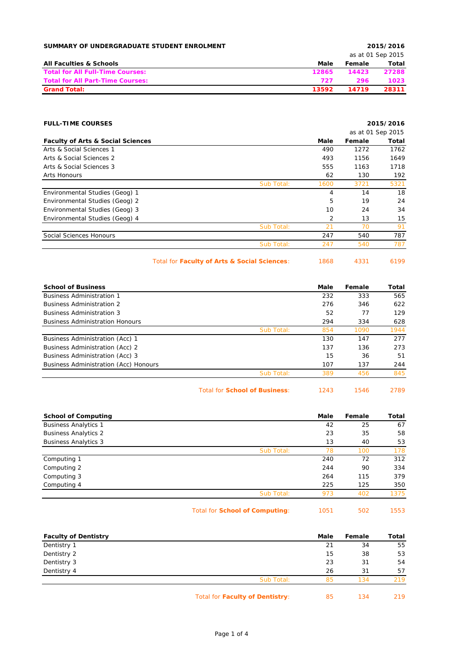| SUMMARY OF UNDERGRADUATE STUDENT ENROLMENT |       | 2015/2016 |                   |  |  |
|--------------------------------------------|-------|-----------|-------------------|--|--|
|                                            |       |           | as at 01 Sep 2015 |  |  |
| <b>All Faculties &amp; Schools</b>         | Male  | Female    | Total             |  |  |
| <b>Total for All Full-Time Courses:</b>    | 12865 | 14423     | 27288             |  |  |
| <b>Total for All Part-Time Courses:</b>    | 727   | 296       | 1023              |  |  |
| <b>Grand Total:</b>                        | 13592 | 14719     | 28311             |  |  |

| <b>FULL-TIME COURSES</b>                     |            |      |        | 2015/2016         |
|----------------------------------------------|------------|------|--------|-------------------|
|                                              |            |      |        | as at 01 Sep 2015 |
| <b>Faculty of Arts &amp; Social Sciences</b> |            | Male | Female | Total             |
| Arts & Social Sciences 1                     |            | 490  | 1272   | 1762              |
| Arts & Social Sciences 2                     |            | 493  | 1156   | 1649              |
| Arts & Social Sciences 3                     |            | 555  | 1163   | 1718              |
| Arts Honours                                 |            | 62   | 130    | 192               |
|                                              | Sub Total: | 1600 | 3721   | 5321              |
| Environmental Studies (Geog) 1               |            | 4    | 14     | 18                |
| Environmental Studies (Geog) 2               |            | 5    | 19     | 24                |
| Environmental Studies (Geog) 3               |            | 10   | 24     | 34                |
| Environmental Studies (Geog) 4               |            | 2    | 13     | 15                |
|                                              | Sub Total: | 21   | 70     | 91                |
| Social Sciences Honours                      |            | 247  | 540    | 787               |
|                                              | Sub Total: | 247  | 540    | 787               |
|                                              |            |      |        |                   |

Total for **Faculty of Arts & Social Sciences**: 1868 4331 6199

| <b>School of Business</b>              |            | Male | Female | Total |
|----------------------------------------|------------|------|--------|-------|
| <b>Business Administration 1</b>       |            | 232  | 333    | 565   |
| <b>Business Administration 2</b>       |            | 276  | 346    | 622   |
| <b>Business Administration 3</b>       |            | 52   | 77     | 129   |
| <b>Business Administration Honours</b> |            | 294  | 334    | 628   |
|                                        | Sub Total: | 854  | 1090   | 1944  |
| Business Administration (Acc) 1        |            | 130  | 147    | 277   |
| Business Administration (Acc) 2        |            | 137  | 136    | 273   |
| Business Administration (Acc) 3        |            | 15   | 36     | 51    |
| Business Administration (Acc) Honours  |            | 107  | 137    | 244   |
|                                        | Sub Total: | 389  | 456    | 845   |
|                                        |            |      |        |       |

Total for **School of Business**: 1243 1546 2789

| <b>School of Computing</b>  |            | Male | Female | Total |
|-----------------------------|------------|------|--------|-------|
| <b>Business Analytics 1</b> |            | 42   | 25     | 67    |
| <b>Business Analytics 2</b> |            | 23   | 35     | 58    |
| <b>Business Analytics 3</b> |            | 13   | 40     | 53    |
|                             | Sub Total: | 78   | 100    | 178   |
| Computing 1                 |            | 240  | 72     | 312   |
| Computing 2                 |            | 244  | 90     | 334   |
| Computing 3                 |            | 264  | 115    | 379   |
| Computing 4                 |            | 225  | 125    | 350   |
|                             | Sub Total: | 973  | 402    | 1375  |
|                             |            |      |        |       |

Total for **School of Computing**: 1051 502 1553

| <b>Faculty of Dentistry</b> |                                 | Male | Female | Total |
|-----------------------------|---------------------------------|------|--------|-------|
| Dentistry 1                 |                                 | 21   | 34     | 55    |
| Dentistry 2                 |                                 | 15   | 38     | 53    |
| Dentistry 3                 |                                 | 23   | 31     | 54    |
| Dentistry 4                 |                                 | 26   | 31     | 57    |
|                             | Sub Total:                      | 85   | 134    | 219   |
|                             | Total for Faculty of Dentistry: | 85   | 134    | 219   |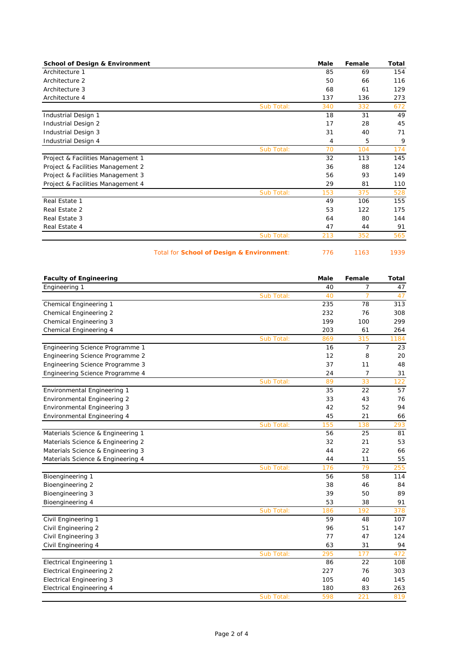| <b>School of Design &amp; Environment</b> | Male | Female | Total |
|-------------------------------------------|------|--------|-------|
| Architecture 1                            | 85   | 69     | 154   |
| Architecture 2                            | 50   | 66     | 116   |
| Architecture 3                            | 68   | 61     | 129   |
| Architecture 4                            | 137  | 136    | 273   |
| Sub Total:                                | 340  | 332    | 672   |
| Industrial Design 1                       | 18   | 31     | 49    |
| Industrial Design 2                       | 17   | 28     | 45    |
| Industrial Design 3                       | 31   | 40     | 71    |
| Industrial Design 4                       | 4    | 5      | 9     |
| Sub Total:                                | 70   | 104    | 174   |
| Project & Facilities Management 1         | 32   | 113    | 145   |
| Project & Facilities Management 2         | 36   | 88     | 124   |
| Project & Facilities Management 3         | 56   | 93     | 149   |
| Project & Facilities Management 4         | 29   | 81     | 110   |
| Sub Total:                                | 153  | 375    | 528   |
| Real Estate 1                             | 49   | 106    | 155   |
| Real Estate 2                             | 53   | 122    | 175   |
| Real Estate 3                             | 64   | 80     | 144   |
| Real Estate 4                             | 47   | 44     | 91    |
| Sub Total:                                | 213  | 352    | 565   |

Total for **School of Design & Environment**: 776 1163 1939

| <b>Faculty of Engineering</b>      |            | Male | Female         | <b>Total</b> |
|------------------------------------|------------|------|----------------|--------------|
| Engineering 1                      |            | 40   | 7              | 47           |
|                                    | Sub Total: | 40   | $\overline{7}$ | 47           |
| Chemical Engineering 1             |            | 235  | 78             | 313          |
| Chemical Engineering 2             |            | 232  | 76             | 308          |
| Chemical Engineering 3             |            | 199  | 100            | 299          |
| Chemical Engineering 4             |            | 203  | 61             | 264          |
|                                    | Sub Total: | 869  | 315            | 1184         |
| Engineering Science Programme 1    |            | 16   | $\overline{7}$ | 23           |
| Engineering Science Programme 2    |            | 12   | 8              | 20           |
| Engineering Science Programme 3    |            | 37   | 11             | 48           |
| Engineering Science Programme 4    |            | 24   | 7              | 31           |
|                                    | Sub Total: | 89   | 33             | 122          |
| <b>Environmental Engineering 1</b> |            | 35   | 22             | 57           |
| <b>Environmental Engineering 2</b> |            | 33   | 43             | 76           |
| <b>Environmental Engineering 3</b> |            | 42   | 52             | 94           |
| Environmental Engineering 4        |            | 45   | 21             | 66           |
|                                    | Sub Total: | 155  | 138            | 293          |
| Materials Science & Engineering 1  |            | 56   | 25             | 81           |
| Materials Science & Engineering 2  |            | 32   | 21             | 53           |
| Materials Science & Engineering 3  |            | 44   | 22             | 66           |
| Materials Science & Engineering 4  |            | 44   | 11             | 55           |
|                                    | Sub Total: | 176  | 79             | 255          |
| Bioengineering 1                   |            | 56   | 58             | 114          |
| Bioengineering 2                   |            | 38   | 46             | 84           |
| Bioengineering 3                   |            | 39   | 50             | 89           |
| Bioengineering 4                   |            | 53   | 38             | 91           |
|                                    | Sub Total: | 186  | 192            | 378          |
| Civil Engineering 1                |            | 59   | 48             | 107          |
| Civil Engineering 2                |            | 96   | 51             | 147          |
| Civil Engineering 3                |            | 77   | 47             | 124          |
| Civil Engineering 4                |            | 63   | 31             | 94           |
|                                    | Sub Total: | 295  | 177            | 472          |
| <b>Electrical Engineering 1</b>    |            | 86   | 22             | 108          |
| <b>Electrical Engineering 2</b>    |            | 227  | 76             | 303          |
| <b>Electrical Engineering 3</b>    |            | 105  | 40             | 145          |
| Electrical Engineering 4           |            | 180  | 83             | 263          |
|                                    | Sub Total: | 598  | 221            | 819          |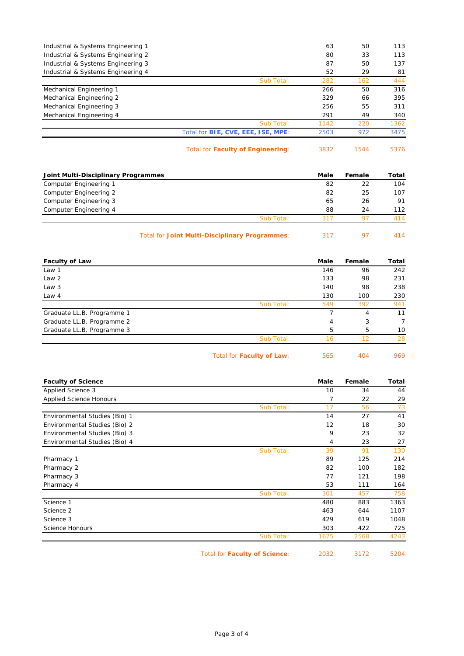| Industrial & Systems Engineering 1 |                                           | 63   | 50  | 113  |
|------------------------------------|-------------------------------------------|------|-----|------|
| Industrial & Systems Engineering 2 |                                           | 80   | 33  | 113  |
| Industrial & Systems Engineering 3 |                                           | 87   | 50  | 137  |
| Industrial & Systems Engineering 4 |                                           | 52   | 29  | 81   |
|                                    | Sub Total:                                | 282  | 162 | 444  |
| Mechanical Engineering 1           |                                           | 266  | 50  | 316  |
| Mechanical Engineering 2           |                                           | 329  | 66  | 395  |
| Mechanical Engineering 3           |                                           | 256  | 55  | 311  |
| Mechanical Engineering 4           |                                           | 291  | 49  | 340  |
|                                    | Sub Total:                                | 1142 | 220 | 1362 |
|                                    | Total for <b>BIE, CVE, EEE, ISE, MPE:</b> | 2503 | 972 | 3475 |
|                                    |                                           |      |     |      |

Total for **Faculty of Engineering**: 3832 1544 5376

| Joint Multi-Disciplinary Programmes |            | Male | Female | Total |
|-------------------------------------|------------|------|--------|-------|
| Computer Engineering 1              |            | 82   | 22     | 104   |
| Computer Engineering 2              |            | 82   | 25     | 107   |
| Computer Engineering 3              |            | 65   | 26     | 91    |
| Computer Engineering 4              |            | 88   | 24     | 112   |
|                                     | Sub Total: | 311  |        | 414   |
|                                     |            |      |        |       |

Total for **Joint Multi-Disciplinary Programmes**: 317 97 414

| <b>Faculty of Law</b>      |                           | Male | Female | Total |
|----------------------------|---------------------------|------|--------|-------|
| Law 1                      |                           | 146  | 96     | 242   |
| Law 2                      |                           | 133  | 98     | 231   |
| Law 3                      |                           | 140  | 98     | 238   |
| Law 4                      |                           | 130  | 100    | 230   |
|                            | Sub Total:                | 549  | 392    | 941   |
| Graduate LL.B. Programme 1 |                           |      | 4      | 11    |
| Graduate LL.B. Programme 2 |                           | 4    | 3      | 7     |
| Graduate LL.B. Programme 3 |                           | 5    | 5      | 10    |
|                            | Sub Total:                | 16   | 12     | 28    |
|                            | Total for Faculty of Law: | 565  | 404    | 969   |

| <b>Faculty of Science</b>      |                               | Male | Female | Total |
|--------------------------------|-------------------------------|------|--------|-------|
| Applied Science 3              |                               | 10   | 34     | 44    |
| <b>Applied Science Honours</b> |                               | 7    | 22     | 29    |
|                                | Sub Total:                    | 17   | 56     | 73    |
| Environmental Studies (Bio) 1  |                               | 14   | 27     | 41    |
| Environmental Studies (Bio) 2  |                               | 12   | 18     | 30    |
| Environmental Studies (Bio) 3  |                               | 9    | 23     | 32    |
| Environmental Studies (Bio) 4  |                               | 4    | 23     | 27    |
|                                | Sub Total:                    | 39   | 91     | 130   |
| Pharmacy 1                     |                               | 89   | 125    | 214   |
| Pharmacy 2                     |                               | 82   | 100    | 182   |
| Pharmacy 3                     |                               | 77   | 121    | 198   |
| Pharmacy 4                     |                               | 53   | 111    | 164   |
|                                | Sub Total:                    | 301  | 457    | 758   |
| Science 1                      |                               | 480  | 883    | 1363  |
| Science 2                      |                               | 463  | 644    | 1107  |
| Science 3                      |                               | 429  | 619    | 1048  |
| Science Honours                |                               | 303  | 422    | 725   |
|                                | Sub Total:                    | 1675 | 2568   | 4243  |
|                                | Total for Faculty of Science: | 2032 | 3172   | 5204  |